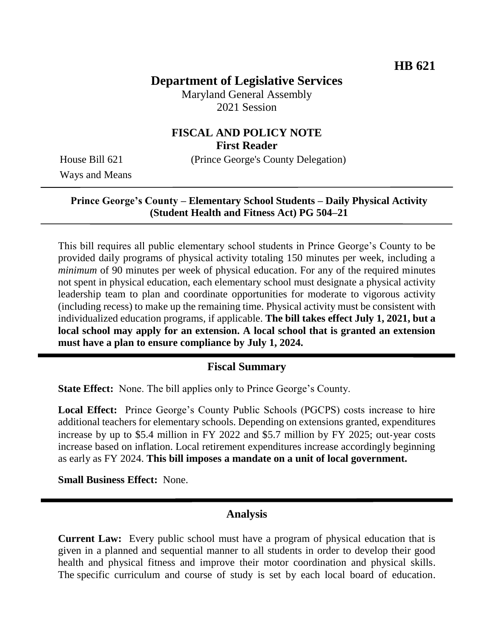# **Department of Legislative Services**

Maryland General Assembly 2021 Session

# **FISCAL AND POLICY NOTE First Reader**

House Bill 621 (Prince George's County Delegation)

Ways and Means

#### **Prince George's County – Elementary School Students – Daily Physical Activity (Student Health and Fitness Act) PG 504–21**

This bill requires all public elementary school students in Prince George's County to be provided daily programs of physical activity totaling 150 minutes per week, including a *minimum* of 90 minutes per week of physical education. For any of the required minutes not spent in physical education, each elementary school must designate a physical activity leadership team to plan and coordinate opportunities for moderate to vigorous activity (including recess) to make up the remaining time. Physical activity must be consistent with individualized education programs, if applicable. **The bill takes effect July 1, 2021, but a local school may apply for an extension. A local school that is granted an extension must have a plan to ensure compliance by July 1, 2024.** 

#### **Fiscal Summary**

**State Effect:** None. The bill applies only to Prince George's County.

**Local Effect:** Prince George's County Public Schools (PGCPS) costs increase to hire additional teachers for elementary schools. Depending on extensions granted, expenditures increase by up to \$5.4 million in FY 2022 and \$5.7 million by FY 2025; out-year costs increase based on inflation. Local retirement expenditures increase accordingly beginning as early as FY 2024. **This bill imposes a mandate on a unit of local government.**

**Small Business Effect:** None.

### **Analysis**

**Current Law:** Every public school must have a program of physical education that is given in a planned and sequential manner to all students in order to develop their good health and physical fitness and improve their motor coordination and physical skills. The specific curriculum and course of study is set by each local board of education.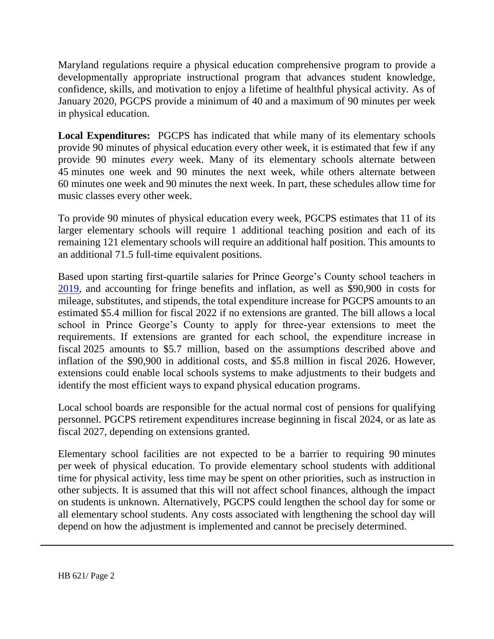Maryland regulations require a physical education comprehensive program to provide a developmentally appropriate instructional program that advances student knowledge, confidence, skills, and motivation to enjoy a lifetime of healthful physical activity. As of January 2020, PGCPS provide a minimum of 40 and a maximum of 90 minutes per week in physical education.

**Local Expenditures:** PGCPS has indicated that while many of its elementary schools provide 90 minutes of physical education every other week, it is estimated that few if any provide 90 minutes *every* week. Many of its elementary schools alternate between 45 minutes one week and 90 minutes the next week, while others alternate between 60 minutes one week and 90 minutes the next week. In part, these schedules allow time for music classes every other week.

To provide 90 minutes of physical education every week, PGCPS estimates that 11 of its larger elementary schools will require 1 additional teaching position and each of its remaining 121 elementary schools will require an additional half position. This amounts to an additional 71.5 full-time equivalent positions.

Based upon starting first-quartile salaries for Prince George's County school teachers in [2019,](http://marylandpublicschools.org/about/Documents/DCAA/SSP/20192020Staff/2020AnalysProSal.pdf) and accounting for fringe benefits and inflation, as well as \$90,900 in costs for mileage, substitutes, and stipends, the total expenditure increase for PGCPS amounts to an estimated \$5.4 million for fiscal 2022 if no extensions are granted. The bill allows a local school in Prince George's County to apply for three-year extensions to meet the requirements. If extensions are granted for each school, the expenditure increase in fiscal 2025 amounts to \$5.7 million, based on the assumptions described above and inflation of the \$90,900 in additional costs, and \$5.8 million in fiscal 2026. However, extensions could enable local schools systems to make adjustments to their budgets and identify the most efficient ways to expand physical education programs.

Local school boards are responsible for the actual normal cost of pensions for qualifying personnel. PGCPS retirement expenditures increase beginning in fiscal 2024, or as late as fiscal 2027, depending on extensions granted.

Elementary school facilities are not expected to be a barrier to requiring 90 minutes per week of physical education. To provide elementary school students with additional time for physical activity, less time may be spent on other priorities, such as instruction in other subjects. It is assumed that this will not affect school finances, although the impact on students is unknown. Alternatively, PGCPS could lengthen the school day for some or all elementary school students. Any costs associated with lengthening the school day will depend on how the adjustment is implemented and cannot be precisely determined.